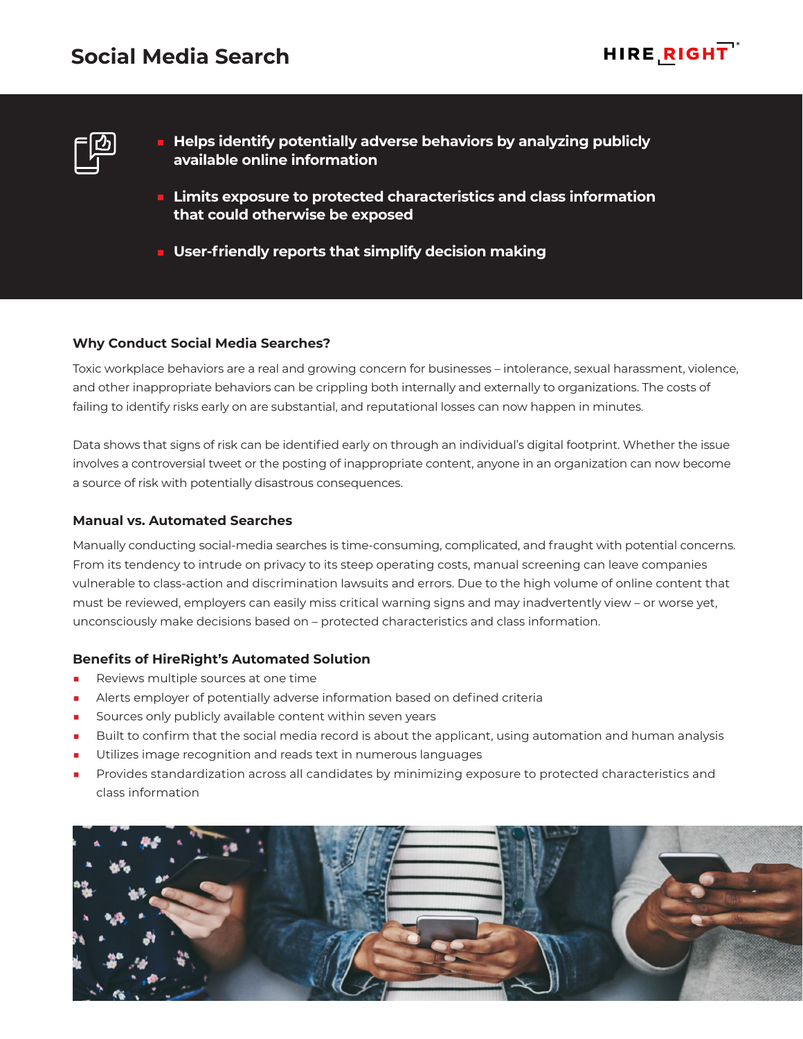# **Social Media Search**





- **Helps identify potentially adverse behaviors by analyzing publicly available online information**
- **Limits exposure to protected characteristics and class information that could otherwise be exposed**
- **User-friendly reports that simplify decision making**

### **Why Conduct Social Media Searches?**

Toxic workplace behaviors are a real and growing concern for businesses – intolerance, sexual harassment, violence, and other inappropriate behaviors can be crippling both internally and externally to organizations. The costs of failing to identify risks early on are substantial, and reputational losses can now happen in minutes.

Data shows that signs of risk can be identified early on through an individual's digital footprint. Whether the issue involves a controversial tweet or the posting of inappropriate content, anyone in an organization can now become a source of risk with potentially disastrous consequences.

### **Manual vs. Automated Searches**

Manually conducting social-media searches is time-consuming, complicated, and fraught with potential concerns. From its tendency to intrude on privacy to its steep operating costs, manual screening can leave companies vulnerable to class-action and discrimination lawsuits and errors. Due to the high volume of online content that must be reviewed, employers can easily miss critical warning signs and may inadvertently view – or worse yet, unconsciously make decisions based on – protected characteristics and class information.

# **Benefits of HireRight's Automated Solution**

- Reviews multiple sources at one time
- Alerts employer of potentially adverse information based on defined criteria
- Sources only publicly available content within seven years
- Built to confirm that the social media record is about the applicant, using automation and human analysis
- Utilizes image recognition and reads text in numerous languages
- Provides standardization across all candidates by minimizing exposure to protected characteristics and class information

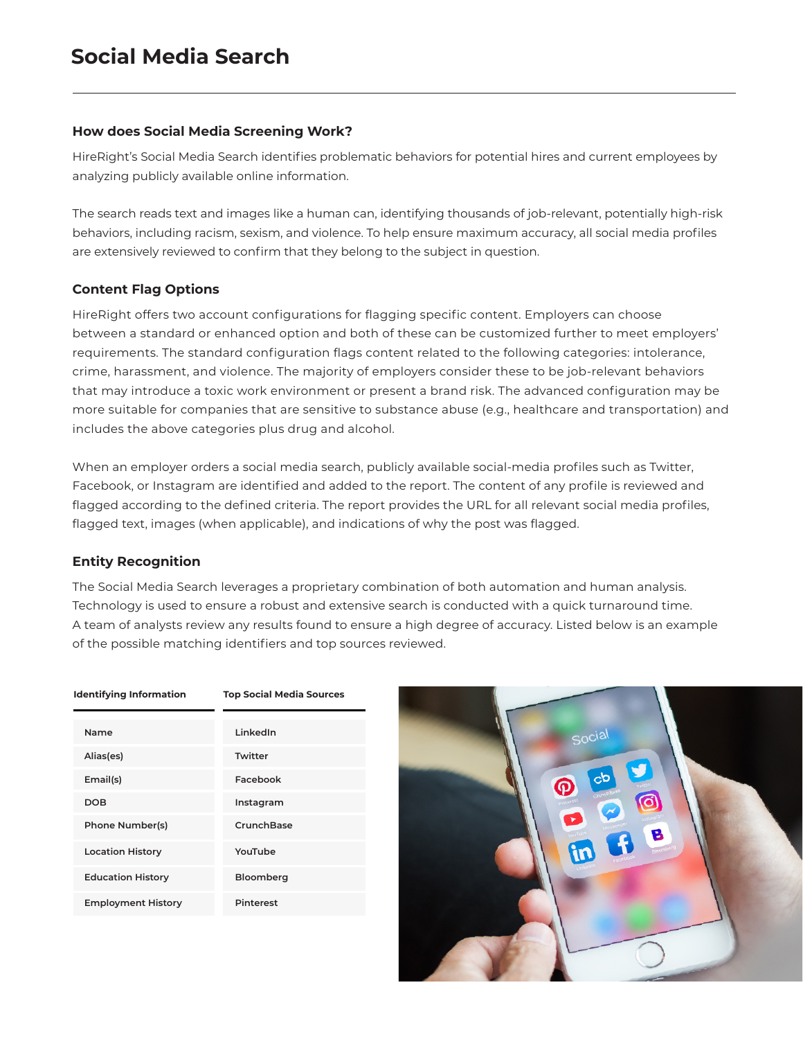## **How does Social Media Screening Work?**

HireRight's Social Media Search identifies problematic behaviors for potential hires and current employees by analyzing publicly available online information.

The search reads text and images like a human can, identifying thousands of job-relevant, potentially high-risk behaviors, including racism, sexism, and violence. To help ensure maximum accuracy, all social media profiles are extensively reviewed to confirm that they belong to the subject in question.

# **Content Flag Options**

HireRight offers two account configurations for flagging specific content. Employers can choose between a standard or enhanced option and both of these can be customized further to meet employers' requirements. The standard configuration flags content related to the following categories: intolerance, crime, harassment, and violence. The majority of employers consider these to be job-relevant behaviors that may introduce a toxic work environment or present a brand risk. The advanced configuration may be more suitable for companies that are sensitive to substance abuse (e.g., healthcare and transportation) and includes the above categories plus drug and alcohol.

When an employer orders a social media search, publicly available social-media profiles such as Twitter, Facebook, or Instagram are identified and added to the report. The content of any profile is reviewed and flagged according to the defined criteria. The report provides the URL for all relevant social media profiles, flagged text, images (when applicable), and indications of why the post was flagged.

# **Entity Recognition**

The Social Media Search leverages a proprietary combination of both automation and human analysis. Technology is used to ensure a robust and extensive search is conducted with a quick turnaround time. A team of analysts review any results found to ensure a high degree of accuracy. Listed below is an example of the possible matching identifiers and top sources reviewed.

#### **Identifying Information Top Social Media Sources**

| Name                      | LinkedIn         |
|---------------------------|------------------|
| Alias(es)                 | Twitter          |
| Email(s)                  | Facebook         |
| DOB                       | Instagram        |
| Phone Number(s)           | CrunchBase       |
| <b>Location History</b>   | YouTube          |
| <b>Education History</b>  | Bloomberg        |
| <b>Employment History</b> | <b>Pinterest</b> |